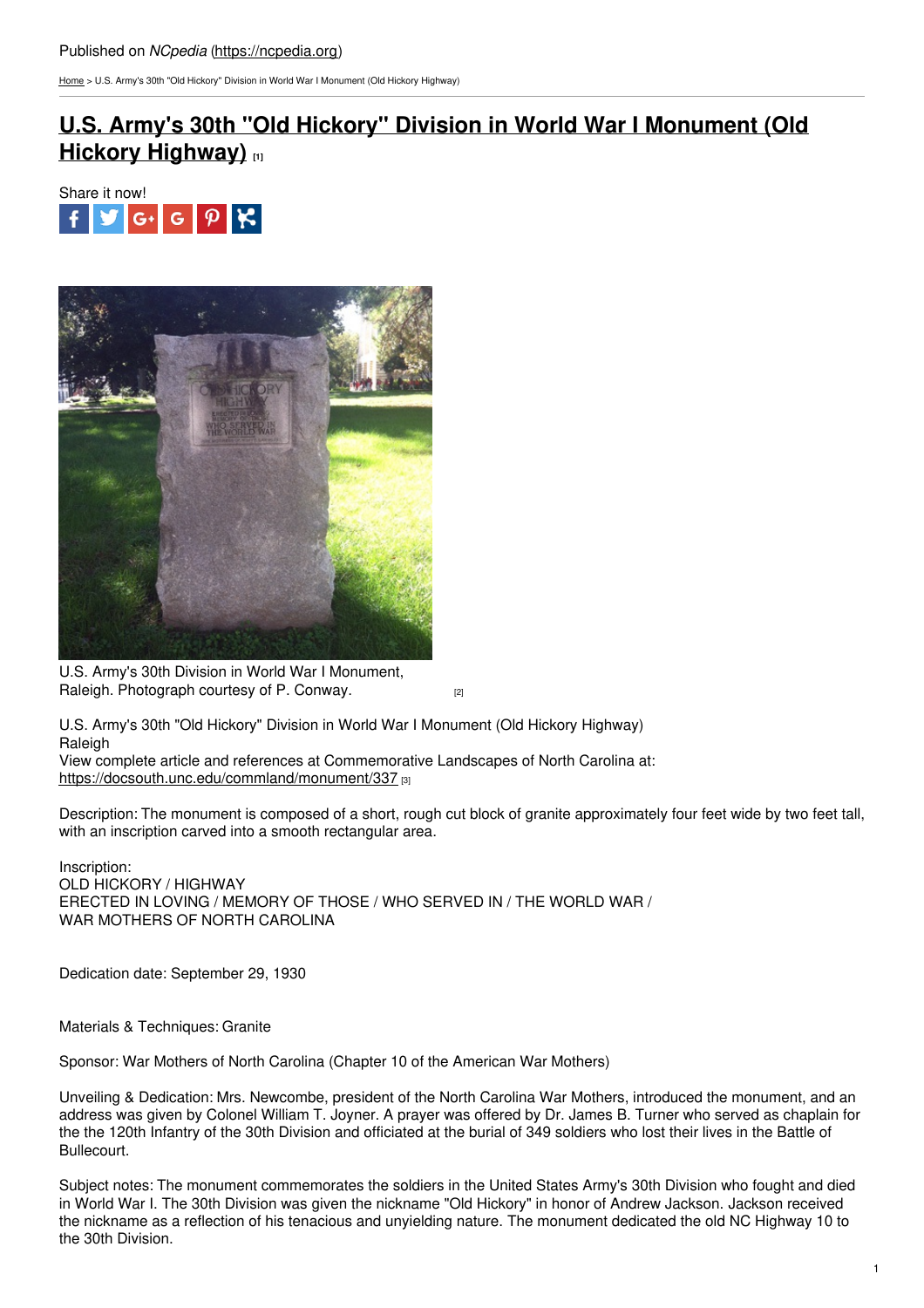[Home](https://ncpedia.org/) > U.S. Army's 30th "Old Hickory" Division in World War I Monument (Old Hickory Highway)

## **U.S. Army's 30th "Old Hickory" Division in World War I [Monument](https://ncpedia.org/monument/us-armys-30th-old-hickory) (Old Hickory Highway) [1]**





U.S. Army's 30th Division in World War I Monument, Raleigh. [Photograph](https://docsouth.unc.edu/static/commland/monument/337_rep.jpg) courtesy of P. Conway. **Example 2** (2)

U.S. Army's 30th "Old Hickory" Division in World War I Monument (Old Hickory Highway) Raleigh

View complete article and references at Commemorative Landscapes of North Carolina at: <https://docsouth.unc.edu/commland/monument/337> [3]

Description: The monument is composed of a short, rough cut block of granite approximately four feet wide by two feet tall, with an inscription carved into a smooth rectangular area.

Inscription: OLD HICKORY / HIGHWAY ERECTED IN LOVING / MEMORY OF THOSE / WHO SERVED IN / THE WORLD WAR / WAR MOTHERS OF NORTH CAROLINA

Dedication date: September 29, 1930

Materials & Techniques: Granite

Sponsor: War Mothers of North Carolina (Chapter 10 of the American War Mothers)

Unveiling & Dedication: Mrs. Newcombe, president of the North Carolina War Mothers, introduced the monument, and an address was given by Colonel William T. Joyner. A prayer was offered by Dr. James B. Turner who served as chaplain for the the 120th Infantry of the 30th Division and officiated at the burial of 349 soldiers who lost their lives in the Battle of Bullecourt.

Subject notes: The monument commemorates the soldiers in the United States Army's 30th Division who fought and died in World War I. The 30th Division was given the nickname "Old Hickory" in honor of Andrew Jackson. Jackson received the nickname as a reflection of his tenacious and unyielding nature. The monument dedicated the old NC Highway 10 to the 30th Division.